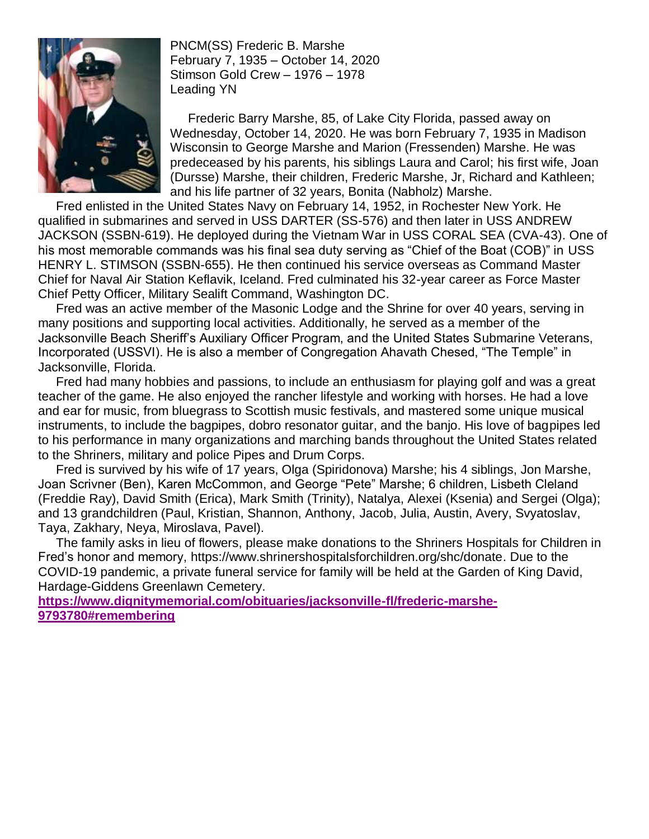

PNCM(SS) Frederic B. Marshe February 7, 1935 – October 14, 2020 Stimson Gold Crew – 1976 – 1978 Leading YN

 Frederic Barry Marshe, 85, of Lake City Florida, passed away on Wednesday, October 14, 2020. He was born February 7, 1935 in Madison Wisconsin to George Marshe and Marion (Fressenden) Marshe. He was predeceased by his parents, his siblings Laura and Carol; his first wife, Joan (Dursse) Marshe, their children, Frederic Marshe, Jr, Richard and Kathleen; and his life partner of 32 years, Bonita (Nabholz) Marshe.

 Fred enlisted in the United States Navy on February 14, 1952, in Rochester New York. He qualified in submarines and served in USS DARTER (SS-576) and then later in USS ANDREW JACKSON (SSBN-619). He deployed during the Vietnam War in USS CORAL SEA (CVA-43). One of his most memorable commands was his final sea duty serving as "Chief of the Boat (COB)" in USS HENRY L. STIMSON (SSBN-655). He then continued his service overseas as Command Master Chief for Naval Air Station Keflavik, Iceland. Fred culminated his 32-year career as Force Master Chief Petty Officer, Military Sealift Command, Washington DC.

 Fred was an active member of the Masonic Lodge and the Shrine for over 40 years, serving in many positions and supporting local activities. Additionally, he served as a member of the Jacksonville Beach Sheriff's Auxiliary Officer Program, and the United States Submarine Veterans, Incorporated (USSVI). He is also a member of Congregation Ahavath Chesed, "The Temple" in Jacksonville, Florida.

 Fred had many hobbies and passions, to include an enthusiasm for playing golf and was a great teacher of the game. He also enjoyed the rancher lifestyle and working with horses. He had a love and ear for music, from bluegrass to Scottish music festivals, and mastered some unique musical instruments, to include the bagpipes, dobro resonator guitar, and the banjo. His love of bagpipes led to his performance in many organizations and marching bands throughout the United States related to the Shriners, military and police Pipes and Drum Corps.

 Fred is survived by his wife of 17 years, Olga (Spiridonova) Marshe; his 4 siblings, Jon Marshe, Joan Scrivner (Ben), Karen McCommon, and George "Pete" Marshe; 6 children, Lisbeth Cleland (Freddie Ray), David Smith (Erica), Mark Smith (Trinity), Natalya, Alexei (Ksenia) and Sergei (Olga); and 13 grandchildren (Paul, Kristian, Shannon, Anthony, Jacob, Julia, Austin, Avery, Svyatoslav, Taya, Zakhary, Neya, Miroslava, Pavel).

 The family asks in lieu of flowers, please make donations to the Shriners Hospitals for Children in Fred's honor and memory, [https://www.shrinershospitalsforchildren.org/shc/donate.](https://www.shrinershospitalsforchildren.org/shc/donate) Due to the COVID-19 pandemic, a private funeral service for family will be held at the Garden of King David, Hardage-Giddens Greenlawn Cemetery.

**[https://www.dignitymemorial.com/obituaries/jacksonville-fl/frederic-marshe-](https://www.dignitymemorial.com/obituaries/jacksonville-fl/frederic-marshe-9793780#remembering)[9793780#remembering](https://www.dignitymemorial.com/obituaries/jacksonville-fl/frederic-marshe-9793780#remembering)**